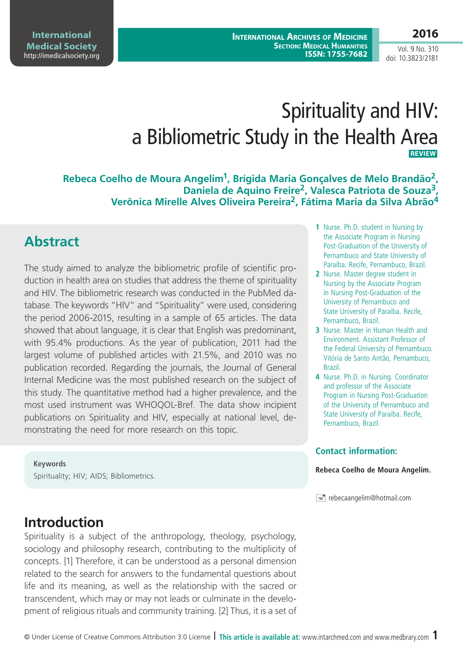**International Archives of Medicine Section: Medical Humanities ISSN: 1755-7682**

# Spirituality and HIV: a Bibliometric Study in the Health Area **REVIEW**

**Rebeca Coelho de Moura Angelim1, Brígida Maria Gonçalves de Melo Brandão2, Daniela de Aquino Freire2, Valesca Patriota de Souza3, Verônica Mirelle Alves Oliveira Pereira2, Fátima Maria da Silva Abrão4**

# **Abstract**

The study aimed to analyze the bibliometric profile of scientific production in health area on studies that address the theme of spirituality and HIV. The bibliometric research was conducted in the PubMed database. The keywords "HIV" and "Spirituality" were used, considering the period 2006-2015, resulting in a sample of 65 articles. The data showed that about language, it is clear that English was predominant, with 95.4% productions. As the year of publication, 2011 had the largest volume of published articles with 21.5%, and 2010 was no publication recorded. Regarding the journals, the Journal of General Internal Medicine was the most published research on the subject of this study. The quantitative method had a higher prevalence, and the most used instrument was WHOQOL-Bref. The data show incipient publications on Spirituality and HIV, especially at national level, demonstrating the need for more research on this topic.

### **Keywords**

Spirituality; HIV; AIDS; Bibliometrics.

#### **1** Nurse. Ph.D. student in Nursing by the Associate Program in Nursing Post-Graduation of the University of Pernambuco and State University of Paraíba. Recife, Pernambuco, Brazil.

- **2** Nurse. Master degree student in Nursing by the Associate Program in Nursing Post-Graduation of the University of Pernambuco and State University of Paraíba. Recife, Pernambuco, Brazil.
- **3** Nurse. Master in Human Health and Environment. Assistant Professor of the Federal University of Pernambuco. Vitória de Santo Antão, Pernambuco, Brazil.
- **4** Nurse. Ph.D. in Nursing. Coordinator and professor of the Associate Program in Nursing Post-Graduation of the University of Pernambuco and State University of Paraíba. Recife, Pernambuco, Brazil.

### **Contact information:**

### **Rebeca Coelho de Moura Angelim.**

 $\equiv$  rebecaangelim@hotmail.com

# **Introduction**

Spirituality is a subject of the anthropology, theology, psychology, sociology and philosophy research, contributing to the multiplicity of concepts. [1] Therefore, it can be understood as a personal dimension related to the search for answers to the fundamental questions about life and its meaning, as well as the relationship with the sacred or transcendent, which may or may not leads or culminate in the development of religious rituals and community training. [2] Thus, it is a set of

### **2016**

Vol. 9 No. 310 doi: 10.3823/2181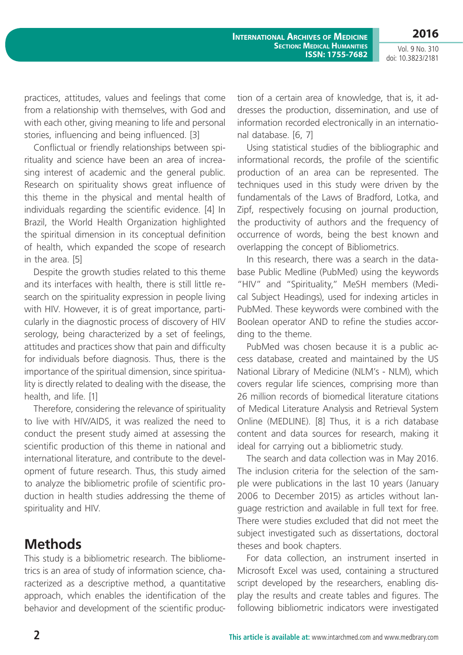Vol. 9 No. 310 doi: 10.3823/2181

practices, attitudes, values and feelings that come from a relationship with themselves, with God and with each other, giving meaning to life and personal stories, influencing and being influenced. [3]

Conflictual or friendly relationships between spirituality and science have been an area of increasing interest of academic and the general public. Research on spirituality shows great influence of this theme in the physical and mental health of individuals regarding the scientific evidence. [4] In Brazil, the World Health Organization highlighted the spiritual dimension in its conceptual definition of health, which expanded the scope of research in the area. [5]

Despite the growth studies related to this theme and its interfaces with health, there is still little research on the spirituality expression in people living with HIV. However, it is of great importance, particularly in the diagnostic process of discovery of HIV serology, being characterized by a set of feelings, attitudes and practices show that pain and difficulty for individuals before diagnosis. Thus, there is the importance of the spiritual dimension, since spirituality is directly related to dealing with the disease, the health, and life. [1]

Therefore, considering the relevance of spirituality to live with HIV/AIDS, it was realized the need to conduct the present study aimed at assessing the scientific production of this theme in national and international literature, and contribute to the development of future research. Thus, this study aimed to analyze the bibliometric profile of scientific production in health studies addressing the theme of spirituality and HIV.

# **Methods**

This study is a bibliometric research. The bibliometrics is an area of study of information science, characterized as a descriptive method, a quantitative approach, which enables the identification of the behavior and development of the scientific production of a certain area of knowledge, that is, it addresses the production, dissemination, and use of information recorded electronically in an international database. [6, 7]

Using statistical studies of the bibliographic and informational records, the profile of the scientific production of an area can be represented. The techniques used in this study were driven by the fundamentals of the Laws of Bradford, Lotka, and Zipf, respectively focusing on journal production, the productivity of authors and the frequency of occurrence of words, being the best known and overlapping the concept of Bibliometrics.

In this research, there was a search in the database Public Medline (PubMed) using the keywords "HIV" and "Spirituality," MeSH members (Medical Subject Headings), used for indexing articles in PubMed. These keywords were combined with the Boolean operator AND to refine the studies according to the theme.

PubMed was chosen because it is a public access database, created and maintained by the US National Library of Medicine (NLM's - NLM), which covers regular life sciences, comprising more than 26 million records of biomedical literature citations of Medical Literature Analysis and Retrieval System Online (MEDLINE). [8] Thus, it is a rich database content and data sources for research, making it ideal for carrying out a bibliometric study.

The search and data collection was in May 2016. The inclusion criteria for the selection of the sample were publications in the last 10 years (January 2006 to December 2015) as articles without language restriction and available in full text for free. There were studies excluded that did not meet the subject investigated such as dissertations, doctoral theses and book chapters.

For data collection, an instrument inserted in Microsoft Excel was used, containing a structured script developed by the researchers, enabling display the results and create tables and figures. The following bibliometric indicators were investigated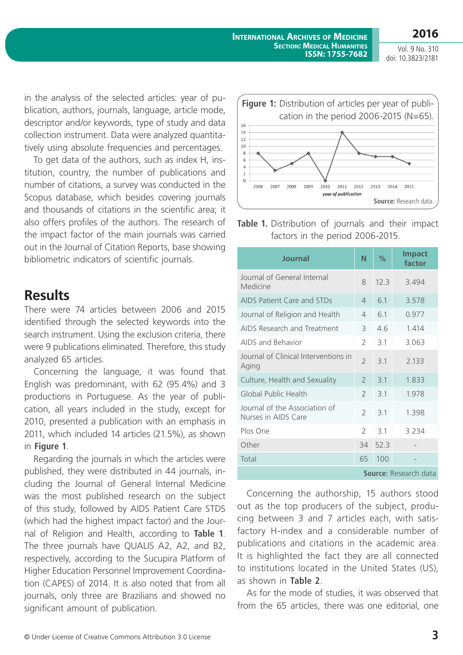Vol. 9 No. 310 doi: 10.3823/2181

in the analysis of the selected articles: year of publication, authors, journals, language, article mode, descriptor and/or keywords, type of study and data collection instrument. Data were analyzed quantitatively using absolute frequencies and percentages.

To get data of the authors, such as index H, institution, country, the number of publications and number of citations, a survey was conducted in the Scopus database, which besides covering journals and thousands of citations in the scientific area; it also offers profiles of the authors. The research of the impact factor of the main journals was carried out in the Journal of Citation Reports, base showing bibliometric indicators of scientific journals.

# **Results**

There were 74 articles between 2006 and 2015 identified through the selected keywords into the search instrument. Using the exclusion criteria, there were 9 publications eliminated. Therefore, this study analyzed 65 articles.

Concerning the language, it was found that English was predominant, with 62 (95.4%) and 3 productions in Portuguese. As the year of publication, all years included in the study, except for 2010, presented a publication with an emphasis in 2011, which included 14 articles (21.5%), as shown in **Figure 1**.

Regarding the journals in which the articles were published, they were distributed in 44 journals, including the Journal of General Internal Medicine was the most published research on the subject of this study, followed by AIDS Patient Care STDS (which had the highest impact factor) and the Journal of Religion and Health, according to **Table 1**. The three journals have QUALIS A2, A2, and B2, respectively, according to the Sucupira Platform of Higher Education Personnel Improvement Coordination (CAPES) of 2014. It is also noted that from all journals, only three are Brazilians and showed no significant amount of publication.



**Table 1.** Distribution of journals and their impact factors in the period 2006-2015.

| Journal                                              | N                        | $\%$ | <b>Impact</b><br>factor      |
|------------------------------------------------------|--------------------------|------|------------------------------|
| Journal of General Internal<br>Medicine              | 8                        | 12.3 | 3.494                        |
| AIDS Patient Care and STDs                           | $\overline{4}$           | 6.1  | 3.578                        |
| Journal of Religion and Health                       | $\overline{4}$           | 6.1  | 0.977                        |
| AIDS Research and Treatment                          | 3                        | 4.6  | 1.414                        |
| AIDS and Behavior                                    | $\mathcal{P}$            | 3.1  | 3.063                        |
| Journal of Clinical Interventions in<br>Aging        | $\overline{2}$           | 3.1  | 2.133                        |
| Culture, Health and Sexuality                        | $\mathcal{P}$            | 3.1  | 1.833                        |
| Global Public Health                                 | $\overline{\phantom{0}}$ | 3.1  | 1.978                        |
| Journal of the Association of<br>Nurses in AIDS Care | $\overline{\phantom{0}}$ | 3.1  | 1.398                        |
| Plos One                                             | $\mathcal{P}$            | 3.1  | 3.234                        |
| Other                                                | 34                       | 52.3 |                              |
| Total                                                | 65                       | 100  |                              |
|                                                      |                          |      | <b>Source:</b> Research data |

Concerning the authorship, 15 authors stood out as the top producers of the subject, producing between 3 and 7 articles each, with satisfactory H-index and a considerable number of publications and citations in the academic area. It is highlighted the fact they are all connected to institutions located in the United States (US), as shown in **Table 2**.

As for the mode of studies, it was observed that from the 65 articles, there was one editorial, one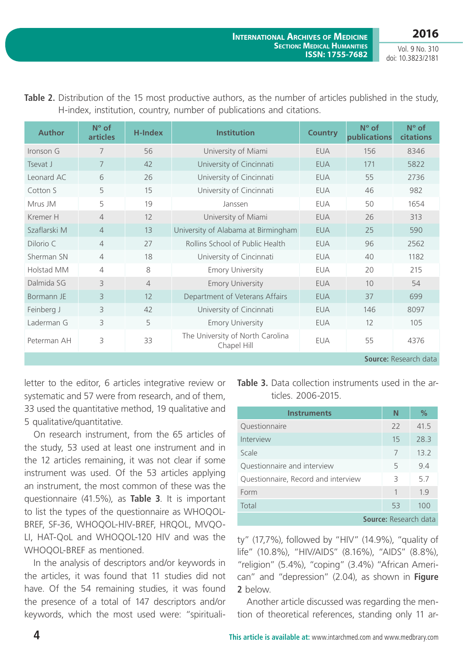Vol. 9 No. 310 doi: 10.3823/2181

| <b>Author</b> | $N^{\circ}$ of<br><b>articles</b> | <b>H-Index</b> | <b>Institution</b>                              | <b>Country</b> | N° of<br>publications | $N^{\circ}$ of<br>citations  |
|---------------|-----------------------------------|----------------|-------------------------------------------------|----------------|-----------------------|------------------------------|
| Ironson G     | 7                                 | 56             | University of Miami                             | <b>EUA</b>     | 156                   | 8346                         |
| Tsevat J      | 7                                 | 42             | University of Cincinnati                        | <b>EUA</b>     | 171                   | 5822                         |
| Leonard AC    | 6                                 | 26             | University of Cincinnati                        | <b>EUA</b>     | 55                    | 2736                         |
| Cotton S      | 5                                 | 15             | University of Cincinnati                        | <b>EUA</b>     | 46                    | 982                          |
| Mrus JM       | 5                                 | 19             | Janssen                                         | <b>EUA</b>     | 50                    | 1654                         |
| Kremer H      | 4                                 | 12             | University of Miami                             | <b>EUA</b>     | 26                    | 313                          |
| Szaflarski M  | $\overline{4}$                    | 13             | University of Alabama at Birmingham             | <b>EUA</b>     | 25                    | 590                          |
| Dilorio C     | $\overline{4}$                    | 27             | Rollins School of Public Health                 | <b>EUA</b>     | 96                    | 2562                         |
| Sherman SN    | $\overline{4}$                    | 18             | University of Cincinnati                        | <b>EUA</b>     | 40                    | 1182                         |
| Holstad MM    | $\overline{4}$                    | 8              | <b>Emory University</b>                         | <b>EUA</b>     | 20                    | 215                          |
| Dalmida SG    | 3                                 | $\overline{4}$ | <b>Emory University</b>                         | <b>EUA</b>     | 10                    | 54                           |
| Bormann JE    | $\overline{3}$                    | 12             | Department of Veterans Affairs                  | <b>EUA</b>     | 37                    | 699                          |
| Feinberg J    | 3                                 | 42             | University of Cincinnati                        | <b>EUA</b>     | 146                   | 8097                         |
| Laderman G    | 3                                 | 5              | <b>Emory University</b>                         | <b>EUA</b>     | 12                    | 105                          |
| Peterman AH   | 3                                 | 33             | The University of North Carolina<br>Chapel Hill | <b>EUA</b>     | 55                    | 4376                         |
|               |                                   |                |                                                 |                |                       | <b>Source: Research data</b> |

**Table 2.** Distribution of the 15 most productive authors, as the number of articles published in the study, H-index, institution, country, number of publications and citations.

letter to the editor, 6 articles integrative review or systematic and 57 were from research, and of them, 33 used the quantitative method, 19 qualitative and 5 qualitative/quantitative.

On research instrument, from the 65 articles of the study, 53 used at least one instrument and in the 12 articles remaining, it was not clear if some instrument was used. Of the 53 articles applying an instrument, the most common of these was the questionnaire (41.5%), as **Table 3**. It is important to list the types of the questionnaire as WHOQOL-BREF, SF-36, WHOQOL-HIV-BREF, HRQOL, MVQO-LI, HAT-QoL and WHOQOL-120 HIV and was the WHOQOL-BREF as mentioned.

In the analysis of descriptors and/or keywords in the articles, it was found that 11 studies did not have. Of the 54 remaining studies, it was found the presence of a total of 147 descriptors and/or keywords, which the most used were: "spirituali-

|  |                    | <b>Table 3.</b> Data collection instruments used in the ar- |  |  |
|--|--------------------|-------------------------------------------------------------|--|--|
|  | ticles. 2006-2015. |                                                             |  |  |

| <b>Instruments</b>                  | N                            | $\%$ |
|-------------------------------------|------------------------------|------|
| Questionnaire                       | 22                           | 41.5 |
| Interview                           | 15                           | 28.3 |
| Scale                               | 7                            | 13.2 |
| Questionnaire and interview         | 5                            | 9.4  |
| Questionnaire, Record and interview | 3                            | 5.7  |
| Form                                | $\mathbf{1}$                 | 1.9  |
| Total                               | 53                           | 100  |
|                                     | <b>Source: Research data</b> |      |

ty" (17,7%), followed by "HIV" (14.9%), "quality of life" (10.8%), "HIV/AIDS" (8.16%), "AIDS" (8.8%), "religion" (5.4%), "coping" (3.4%) "African American" and "depression" (2.04), as shown in **Figure 2** below.

Another article discussed was regarding the mention of theoretical references, standing only 11 ar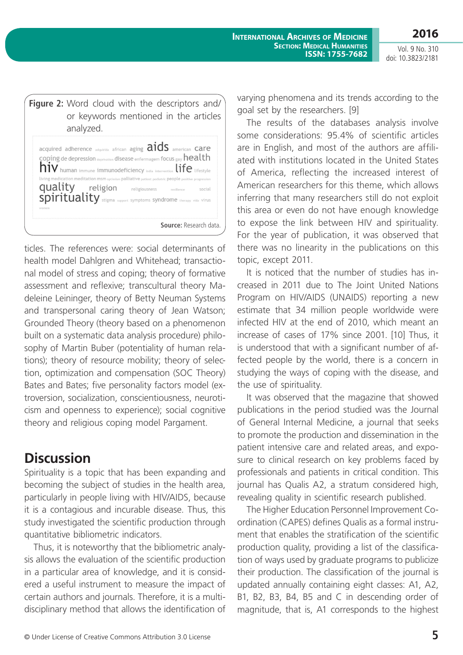**International Archives of Medicine SECTION: MEDICAL HUMANITIES ISSN: 1755-7682**

Vol. 9 No. 310 doi: 10.3823/2181

**2016**

|       | analyzed.                                                                                                                                                                                                                                                                                                                                                                                                                                                                                                                          | Figure 2: Word cloud with the descriptors and/<br>or keywords mentioned in the articles |
|-------|------------------------------------------------------------------------------------------------------------------------------------------------------------------------------------------------------------------------------------------------------------------------------------------------------------------------------------------------------------------------------------------------------------------------------------------------------------------------------------------------------------------------------------|-----------------------------------------------------------------------------------------|
| women | acquired adherence $_{\text{adquirda}}$ african aging $\text{aids}$ american $\text{care}$<br>coping de depression deprivation disease enfermagem focus gay $\mathsf{health}$<br>$\mathop{\rm Div}\nolimits$ human immune immunodeficiency india intervention $\mathop{\rm life}\nolimits$ lifestyle<br>living medication meditation msm optimism palliative patient pediatric people positive progression<br>quality religion religiousness resilience social<br>spirituality stigma support symptoms syndrome therapy vida virus |                                                                                         |
|       |                                                                                                                                                                                                                                                                                                                                                                                                                                                                                                                                    | <b>Source:</b> Research data.                                                           |

ticles. The references were: social determinants of health model Dahlgren and Whitehead; transactional model of stress and coping; theory of formative assessment and reflexive; transcultural theory Madeleine Leininger, theory of Betty Neuman Systems and transpersonal caring theory of Jean Watson; Grounded Theory (theory based on a phenomenon built on a systematic data analysis procedure) philosophy of Martin Buber (potentiality of human relations); theory of resource mobility; theory of selection, optimization and compensation (SOC Theory) Bates and Bates; five personality factors model (extroversion, socialization, conscientiousness, neuroticism and openness to experience); social cognitive theory and religious coping model Pargament.

# **Discussion**

Spirituality is a topic that has been expanding and becoming the subject of studies in the health area, particularly in people living with HIV/AIDS, because it is a contagious and incurable disease. Thus, this study investigated the scientific production through quantitative bibliometric indicators.

Thus, it is noteworthy that the bibliometric analysis allows the evaluation of the scientific production in a particular area of knowledge, and it is considered a useful instrument to measure the impact of certain authors and journals. Therefore, it is a multidisciplinary method that allows the identification of varying phenomena and its trends according to the goal set by the researchers. [9]

The results of the databases analysis involve some considerations: 95.4% of scientific articles are in English, and most of the authors are affiliated with institutions located in the United States of America, reflecting the increased interest of American researchers for this theme, which allows inferring that many researchers still do not exploit this area or even do not have enough knowledge to expose the link between HIV and spirituality. For the year of publication, it was observed that there was no linearity in the publications on this topic, except 2011.

It is noticed that the number of studies has increased in 2011 due to The Joint United Nations Program on HIV/AIDS (UNAIDS) reporting a new estimate that 34 million people worldwide were infected HIV at the end of 2010, which meant an increase of cases of 17% since 2001. [10] Thus, it is understood that with a significant number of affected people by the world, there is a concern in studying the ways of coping with the disease, and the use of spirituality.

It was observed that the magazine that showed publications in the period studied was the Journal of General Internal Medicine, a journal that seeks to promote the production and dissemination in the patient intensive care and related areas, and exposure to clinical research on key problems faced by professionals and patients in critical condition. This journal has Qualis A2, a stratum considered high, revealing quality in scientific research published.

The Higher Education Personnel Improvement Coordination (CAPES) defines Qualis as a formal instrument that enables the stratification of the scientific production quality, providing a list of the classification of ways used by graduate programs to publicize their production. The classification of the journal is updated annually containing eight classes: A1, A2, B1, B2, B3, B4, B5 and C in descending order of magnitude, that is, A1 corresponds to the highest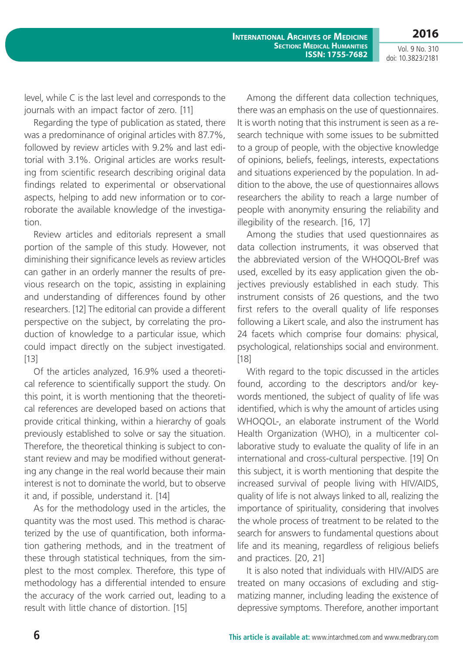Vol. 9 No. 310 doi: 10.3823/2181

level, while C is the last level and corresponds to the journals with an impact factor of zero. [11]

Regarding the type of publication as stated, there was a predominance of original articles with 87.7%, followed by review articles with 9.2% and last editorial with 3.1%. Original articles are works resulting from scientific research describing original data findings related to experimental or observational aspects, helping to add new information or to corroborate the available knowledge of the investigation.

Review articles and editorials represent a small portion of the sample of this study. However, not diminishing their significance levels as review articles can gather in an orderly manner the results of previous research on the topic, assisting in explaining and understanding of differences found by other researchers. [12] The editorial can provide a different perspective on the subject, by correlating the production of knowledge to a particular issue, which could impact directly on the subject investigated. [13]

Of the articles analyzed, 16.9% used a theoretical reference to scientifically support the study. On this point, it is worth mentioning that the theoretical references are developed based on actions that provide critical thinking, within a hierarchy of goals previously established to solve or say the situation. Therefore, the theoretical thinking is subject to constant review and may be modified without generating any change in the real world because their main interest is not to dominate the world, but to observe it and, if possible, understand it. [14]

As for the methodology used in the articles, the quantity was the most used. This method is characterized by the use of quantification, both information gathering methods, and in the treatment of these through statistical techniques, from the simplest to the most complex. Therefore, this type of methodology has a differential intended to ensure the accuracy of the work carried out, leading to a result with little chance of distortion. [15]

Among the different data collection techniques, there was an emphasis on the use of questionnaires. It is worth noting that this instrument is seen as a research technique with some issues to be submitted to a group of people, with the objective knowledge of opinions, beliefs, feelings, interests, expectations and situations experienced by the population. In addition to the above, the use of questionnaires allows researchers the ability to reach a large number of people with anonymity ensuring the reliability and illegibility of the research. [16, 17]

Among the studies that used questionnaires as data collection instruments, it was observed that the abbreviated version of the WHOQOL-Bref was used, excelled by its easy application given the objectives previously established in each study. This instrument consists of 26 questions, and the two first refers to the overall quality of life responses following a Likert scale, and also the instrument has 24 facets which comprise four domains: physical, psychological, relationships social and environment. [18]

With regard to the topic discussed in the articles found, according to the descriptors and/or keywords mentioned, the subject of quality of life was identified, which is why the amount of articles using WHOQOL-, an elaborate instrument of the World Health Organization (WHO), in a multicenter collaborative study to evaluate the quality of life in an international and cross-cultural perspective. [19] On this subject, it is worth mentioning that despite the increased survival of people living with HIV/AIDS, quality of life is not always linked to all, realizing the importance of spirituality, considering that involves the whole process of treatment to be related to the search for answers to fundamental questions about life and its meaning, regardless of religious beliefs and practices. [20, 21]

It is also noted that individuals with HIV/AIDS are treated on many occasions of excluding and stigmatizing manner, including leading the existence of depressive symptoms. Therefore, another important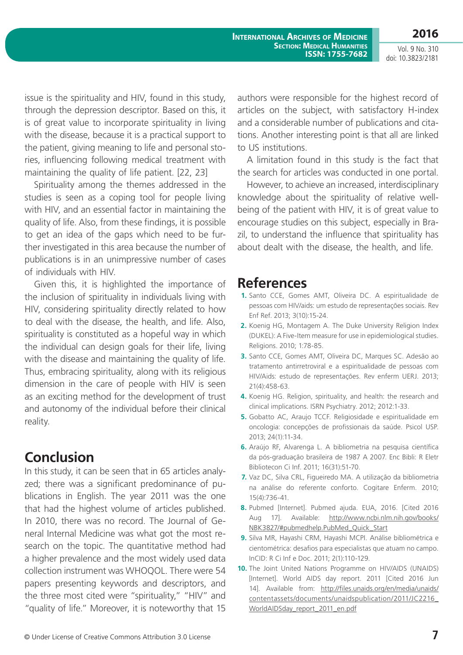Vol. 9 No. 310 doi: 10.3823/2181

issue is the spirituality and HIV, found in this study, through the depression descriptor. Based on this, it is of great value to incorporate spirituality in living with the disease, because it is a practical support to the patient, giving meaning to life and personal stories, influencing following medical treatment with maintaining the quality of life patient. [22, 23]

Spirituality among the themes addressed in the studies is seen as a coping tool for people living with HIV, and an essential factor in maintaining the quality of life. Also, from these findings, it is possible to get an idea of the gaps which need to be further investigated in this area because the number of publications is in an unimpressive number of cases of individuals with HIV.

Given this, it is highlighted the importance of the inclusion of spirituality in individuals living with HIV, considering spirituality directly related to how to deal with the disease, the health, and life. Also, spirituality is constituted as a hopeful way in which the individual can design goals for their life, living with the disease and maintaining the quality of life. Thus, embracing spirituality, along with its religious dimension in the care of people with HIV is seen as an exciting method for the development of trust and autonomy of the individual before their clinical reality.

# **Conclusion**

In this study, it can be seen that in 65 articles analyzed; there was a significant predominance of publications in English. The year 2011 was the one that had the highest volume of articles published. In 2010, there was no record. The Journal of General Internal Medicine was what got the most research on the topic. The quantitative method had a higher prevalence and the most widely used data collection instrument was WHOQOL. There were 54 papers presenting keywords and descriptors, and the three most cited were "spirituality," "HIV" and "quality of life." Moreover, it is noteworthy that 15

authors were responsible for the highest record of articles on the subject, with satisfactory H-index and a considerable number of publications and citations. Another interesting point is that all are linked to US institutions.

A limitation found in this study is the fact that the search for articles was conducted in one portal.

However, to achieve an increased, interdisciplinary knowledge about the spirituality of relative wellbeing of the patient with HIV, it is of great value to encourage studies on this subject, especially in Brazil, to understand the influence that spirituality has about dealt with the disease, the health, and life.

# **References**

- **1.** Santo CCE, Gomes AMT, Oliveira DC. A espiritualidade de pessoas com HIV/aids: um estudo de representações sociais. Rev Enf Ref. 2013; 3(10):15-24.
- **2.** Koenig HG, Montagem A. The Duke University Religion Index (DUKEL): A Five-Item measure for use in epidemiological studies. Religions. 2010; 1:78-85.
- **3.** Santo CCE, Gomes AMT, Oliveira DC, Marques SC. Adesão ao tratamento antirretroviral e a espiritualidade de pessoas com HIV/Aids: estudo de representações. Rev enferm UERJ. 2013; 21(4):458-63.
- **4.** Koenig HG. Religion, spirituality, and health: the research and clinical implications. ISRN Psychiatry. 2012; 2012:1-33.
- **5.** Gobatto AC, Araujo TCCF. Religiosidade e espiritualidade em oncologia: concepções de profissionais da saúde. Psicol USP. 2013; 24(1):11-34.
- **6.** Araújo RF, Alvarenga L. A bibliometria na pesquisa científica da pós-graduação brasileira de 1987 A 2007. Enc Bibli: R Eletr Bibliotecon Ci Inf. 2011; 16(31):51-70.
- **7.** Vaz DC, Silva CRL, Figueiredo MA. A utilização da bibliometria na análise do referente conforto. Cogitare Enferm. 2010; 15(4):736-41.
- **8.** Pubmed [Internet]. Pubmed ajuda. EUA, 2016. [Cited 2016 Aug 17]. Available: http://www.ncbi.nlm.nih.gov/books/ NBK3827/#pubmedhelp.PubMed\_Quick\_Start
- **9.** Silva MR, Hayashi CRM, Hayashi MCPI. Análise bibliométrica e cientométrica: desafios para especialistas que atuam no campo. InCID: R Ci Inf e Doc. 2011; 2(1):110-129.
- **10.** The Joint United Nations Programme on HIV/AIDS (UNAIDS) [Internet]. World AIDS day report. 2011 [Cited 2016 Jun 14]. Available from: http://files.unaids.org/en/media/unaids/ contentassets/documents/unaidspublication/2011/JC2216\_ WorldAIDSday\_report\_2011\_en.pdf